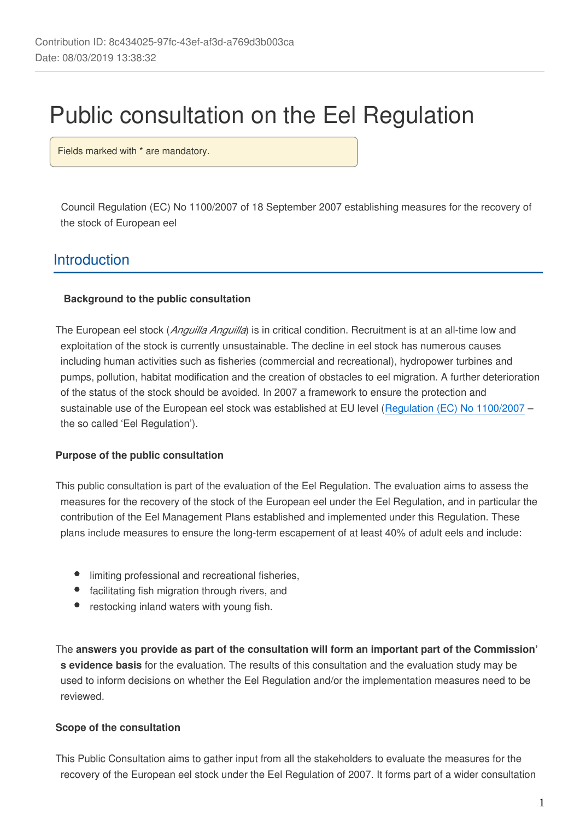# Public consultation on the Eel Regulation

Fields marked with \* are mandatory.

Council Regulation (EC) No 1100/2007 of 18 September 2007 establishing measures for the recovery of the stock of European eel

# **Introduction**

#### **Background to the public consultation**

The European eel stock (*Anguilla Anguilla*) is in critical condition. Recruitment is at an all-time low and exploitation of the stock is currently unsustainable. The decline in eel stock has numerous causes including human activities such as fisheries (commercial and recreational), hydropower turbines and pumps, pollution, habitat modification and the creation of obstacles to eel migration. A further deterioration of the status of the stock should be avoided. In 2007 a framework to ensure the protection and sustainable use of the European eel stock was established at EU level ([Regulation \(EC\) No 1100/2007](https://publications.europa.eu/en/publication-detail/-/publication/a0d3c239-8086-4368-ae87-4eb3d1a477f5/language-en) – the so called 'Eel Regulation').

### **Purpose of the public consultation**

This public consultation is part of the evaluation of the Eel Regulation. The evaluation aims to assess the measures for the recovery of the stock of the European eel under the Eel Regulation, and in particular the contribution of the Eel Management Plans established and implemented under this Regulation. These plans include measures to ensure the long-term escapement of at least 40% of adult eels and include:

- $\bullet$ limiting professional and recreational fisheries,
- facilitating fish migration through rivers, and
- restocking inland waters with young fish.

The **answers you provide as part of the consultation will form an important part of the Commission' s evidence basis** for the evaluation. The results of this consultation and the evaluation study may be used to inform decisions on whether the Eel Regulation and/or the implementation measures need to be reviewed.

#### **Scope of the consultation**

This Public Consultation aims to gather input from all the stakeholders to evaluate the measures for the recovery of the European eel stock under the Eel Regulation of 2007. It forms part of a wider consultation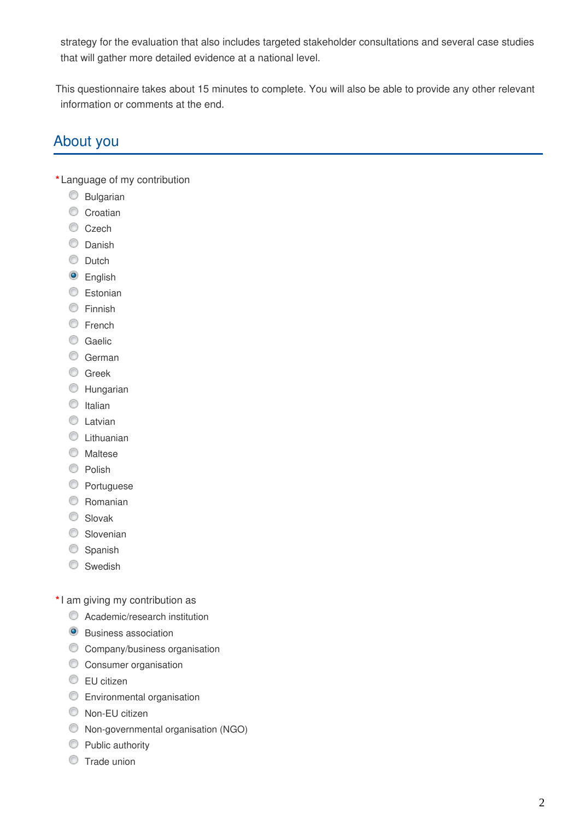strategy for the evaluation that also includes targeted stakeholder consultations and several case studies that will gather more detailed evidence at a national level.

This questionnaire takes about 15 minutes to complete. You will also be able to provide any other relevant information or comments at the end.

# About you

**\*** Language of my contribution

- **Bulgarian**
- Croatian
- C<sub>zech</sub>
- C Danish
- C Dutch
- **O** English
- **Estonian**
- **C** Finnish
- C French
- C Gaelic
- C German
- **C** Greek
- **C** Hungarian
- $\circ$  Italian
- C Latvian
- C Lithuanian
- **Maltese**
- C Polish
- **C** Portuguese
- C Romanian
- C Slovak
- Slovenian
- Spanish
- Swedish
- **\***I am giving my contribution as
	- Academic/research institution
	- **O** Business association
	- **C** Company/business organisation
	- **C** Consumer organisation
	- **EU** citizen
	- **Environmental organisation**
	- Non-EU citizen
	- Non-governmental organisation (NGO)
	- **Public authority**
	- **Trade union**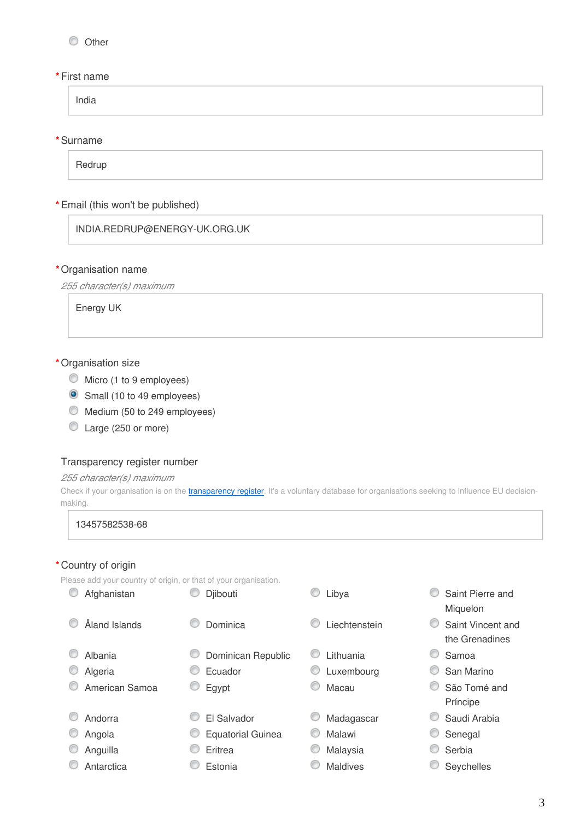#### O Other

#### **\***First name

India

#### **\***Surname

Redrup

#### **\***Email (this won't be published)

INDIA.REDRUP@ENERGY-UK.ORG.UK

#### **\***Organisation name

*255 character(s) maximum*

Energy UK

#### **\***Organisation size

- $\bullet$  Micro (1 to 9 employees)
- Small (10 to 49 employees)
- Medium (50 to 249 employees)
- Large (250 or more)

#### Transparency register number

#### *255 character(s) maximum*

Check if your organisation is on the *[transparency register](http://ec.europa.eu/transparencyregister/public/homePage.do?redir=false&locale=en)*. It's a voluntary database for organisations seeking to influence EU decisionmaking.

#### 13457582538-68

#### **\***Country of origin

Please add your country of origin, or that of your organisation. **O** Afghanistan **C** Diibouti **D** Libya **C** Saint Pierre and Miquelon Åland Islands Dominica Liechtenstein Saint Vincent and the Grenadines C Albania **C** Dominican Republic C Lithuania C Samoa C Algeria C Ecuador C Luxembourg C San Marino C American Samoa C Egypt C Macau C São Tomé and Príncipe C Andorra CCCI Salvador C Madagascar C Saudi Arabia C Angola C Equatorial Guinea C Malawi C Senegal C Anguilla C Eritrea C Malaysia C Serbia C Antarctica C Estonia C Maldives C Seychelles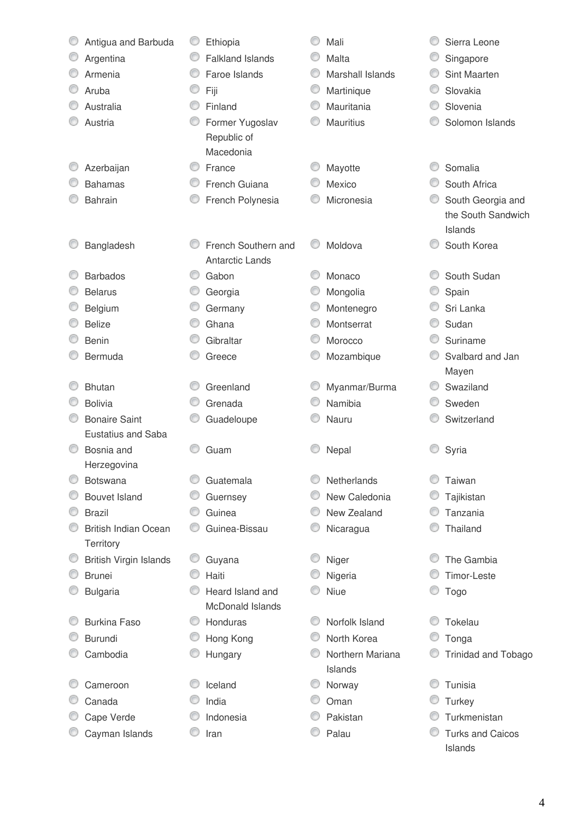| Antigua and Barbuda                      |   | Ethiopia                |   | Mali             |   | Sierra Leone               |
|------------------------------------------|---|-------------------------|---|------------------|---|----------------------------|
| Argentina                                | O | <b>Falkland Islands</b> |   | Malta            |   | Singapore                  |
| Armenia                                  | O | Faroe Islands           | 0 | Marshall Islands | O | Sint Maarten               |
| Aruba                                    |   | Fiji                    | O | Martinique       | O | Slovakia                   |
| Australia                                | O | Finland                 | O | Mauritania       | 0 | Slovenia                   |
| Austria                                  |   | Former Yugoslav         |   | <b>Mauritius</b> |   | Solomon Islands            |
|                                          |   | Republic of             |   |                  |   |                            |
|                                          |   | Macedonia               |   |                  |   |                            |
| Azerbaijan                               | ⊙ | France                  |   | Mayotte          |   | Somalia                    |
| <b>Bahamas</b>                           |   | French Guiana           |   | Mexico           |   | South Africa               |
| <b>Bahrain</b>                           |   | French Polynesia        |   | Micronesia       | O | South Georgia and          |
|                                          |   |                         |   |                  |   | the South Sandwich         |
|                                          |   |                         |   |                  |   | Islands                    |
| Bangladesh                               |   | French Southern and     |   | Moldova          |   | South Korea                |
|                                          |   | <b>Antarctic Lands</b>  |   |                  |   |                            |
| <b>Barbados</b>                          | O | Gabon                   |   | Monaco           |   | South Sudan                |
| <b>Belarus</b>                           |   | Georgia                 |   | Mongolia         |   | Spain                      |
| Belgium                                  |   | Germany                 | O | Montenegro       |   | Sri Lanka                  |
| <b>Belize</b>                            | C | Ghana                   |   | Montserrat       | O | Sudan                      |
| <b>Benin</b>                             |   | Gibraltar               |   | Morocco          | 0 | Suriname                   |
| Bermuda                                  |   | Greece                  |   | Mozambique       | ◎ | Svalbard and Jan           |
|                                          |   |                         |   |                  |   | Mayen                      |
| <b>Bhutan</b>                            |   | Greenland               | O | Myanmar/Burma    | O | Swaziland                  |
| <b>Bolivia</b>                           |   | Grenada                 |   | Namibia          |   | Sweden                     |
| <b>Bonaire Saint</b>                     |   | Guadeloupe              |   | Nauru            |   | Switzerland                |
| Eustatius and Saba                       |   |                         |   |                  |   |                            |
| Bosnia and                               |   | Guam                    |   | Nepal            |   | Syria                      |
| Herzegovina                              |   |                         |   | Netherlands      |   |                            |
| <b>Botswana</b>                          |   | Guatemala               |   | New Caledonia    |   | Taiwan                     |
| <b>Bouvet Island</b><br><b>Brazil</b>    |   | Guernsey<br>Guinea      |   |                  |   | Tajikistan                 |
|                                          |   |                         |   | New Zealand      |   | Tanzania                   |
| <b>British Indian Ocean</b><br>Territory |   | Guinea-Bissau           |   | Nicaragua        |   | Thailand                   |
| British Virgin Islands                   |   | Guyana                  |   | Niger            |   | The Gambia                 |
| <b>Brunei</b>                            |   | Haiti                   |   | Nigeria          |   | <b>Timor-Leste</b>         |
| <b>Bulgaria</b>                          |   | Heard Island and        |   | Niue             |   | Togo                       |
|                                          |   | McDonald Islands        |   |                  |   |                            |
| <b>Burkina Faso</b>                      | O | Honduras                |   | Norfolk Island   |   | Tokelau                    |
| <b>Burundi</b>                           |   | Hong Kong               |   | North Korea      |   | Tonga                      |
| Cambodia                                 |   | Hungary                 |   | Northern Mariana |   | <b>Trinidad and Tobago</b> |
|                                          |   |                         |   | Islands          |   |                            |
| Cameroon                                 |   | Iceland                 |   | Norway           |   | Tunisia                    |
| Canada                                   |   | India                   |   | Oman             |   | Turkey                     |
| Cape Verde                               |   | Indonesia               |   | Pakistan         |   | Turkmenistan               |
| Cayman Islands                           |   | Iran                    |   | Palau            |   | <b>Turks and Caicos</b>    |
|                                          |   |                         |   |                  |   | Islands                    |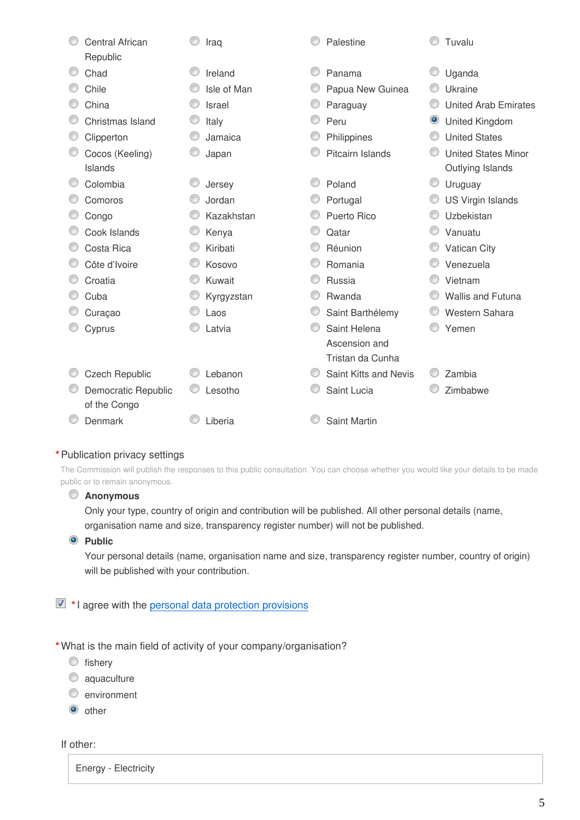| <b>Central African</b> | Iraq        | Palestine             |           | Tuvalu                      |
|------------------------|-------------|-----------------------|-----------|-----------------------------|
| Republic               |             |                       |           |                             |
| Chad                   | Ireland     | Panama                |           | Uganda                      |
| Chile                  | Isle of Man | Papua New Guinea      |           | Ukraine                     |
| China                  | Israel      | Paraguay              |           | <b>United Arab Emirates</b> |
| Christmas Island       | Italy       | Peru                  | $\bullet$ | <b>United Kingdom</b>       |
| Clipperton             | Jamaica     | Philippines           | ◎         | <b>United States</b>        |
| Cocos (Keeling)        | Japan       | Pitcairn Islands      |           | <b>United States Minor</b>  |
| Islands                |             |                       |           | Outlying Islands            |
| Colombia               | Jersey      | Poland                | O         | Uruguay                     |
| Comoros                | Jordan      | Portugal              | O         | <b>US Virgin Islands</b>    |
| Congo                  | Kazakhstan  | Puerto Rico           |           | Uzbekistan                  |
| Cook Islands           | Kenya       | Qatar                 | 0         | Vanuatu                     |
| Costa Rica             | Kiribati    | Réunion               |           | Vatican City                |
| Côte d'Ivoire          | Kosovo      | Romania               | ◎         | Venezuela                   |
| Croatia                | Kuwait      | Russia                |           | Vietnam                     |
| Cuba                   | Kyrgyzstan  | Rwanda                |           | Wallis and Futuna           |
| Curaçao                | Laos        | Saint Barthélemy      |           | Western Sahara              |
| Cyprus                 | Latvia      | Saint Helena          |           | Yemen                       |
|                        |             | Ascension and         |           |                             |
|                        |             | Tristan da Cunha      |           |                             |
| <b>Czech Republic</b>  | Lebanon     | Saint Kitts and Nevis |           | Zambia                      |
| Democratic Republic    | Lesotho     | Saint Lucia           |           | Zimbabwe                    |
| of the Congo           |             |                       |           |                             |
| Denmark                | Liberia     | <b>Saint Martin</b>   |           |                             |
|                        |             |                       |           |                             |

## **\***Publication privacy settings

The Commission will publish the responses to this public consultation. You can choose whether you would like your details to be made public or to remain anonymous.

## **Anonymous**

Only your type, country of origin and contribution will be published. All other personal details (name, organisation name and size, transparency register number) will not be published.

**Public** 

Your personal details (name, organisation name and size, transparency register number, country of origin) will be published with your contribution.

# **\***I agree with the [personal data protection provisions](https://ec.europa.eu/info/law/better-regulation/specific-privacy-statement_en)

**\***What is the main field of activity of your company/organisation?

 $\circledcirc$  fishery

- caquaculture
- **environment**
- $\bullet$  other

If other:

Energy - Electricity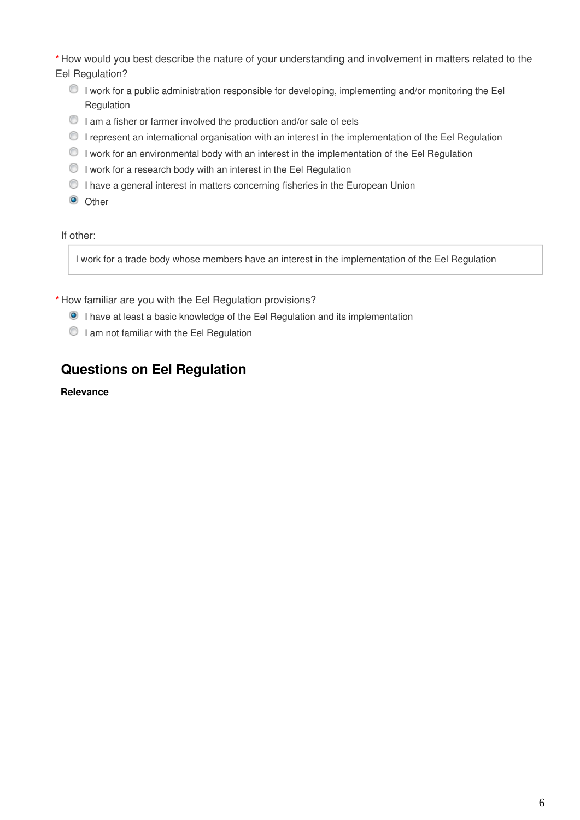**\***How would you best describe the nature of your understanding and involvement in matters related to the Eel Regulation?

- I work for a public administration responsible for developing, implementing and/or monitoring the Eel Regulation
- $\bullet$  I am a fisher or farmer involved the production and/or sale of eels
- I represent an international organisation with an interest in the implementation of the Eel Regulation
- $\bullet$  I work for an environmental body with an interest in the implementation of the Eel Regulation
- $\bullet$  I work for a research body with an interest in the Eel Regulation
- $\bullet$  I have a general interest in matters concerning fisheries in the European Union
- <sup>O</sup> Other

If other:

I work for a trade body whose members have an interest in the implementation of the Eel Regulation

**\***How familiar are you with the Eel Regulation provisions?

- I have at least a basic knowledge of the Eel Regulation and its implementation
- I am not familiar with the Eel Regulation

# **Questions on Eel Regulation**

**Relevance**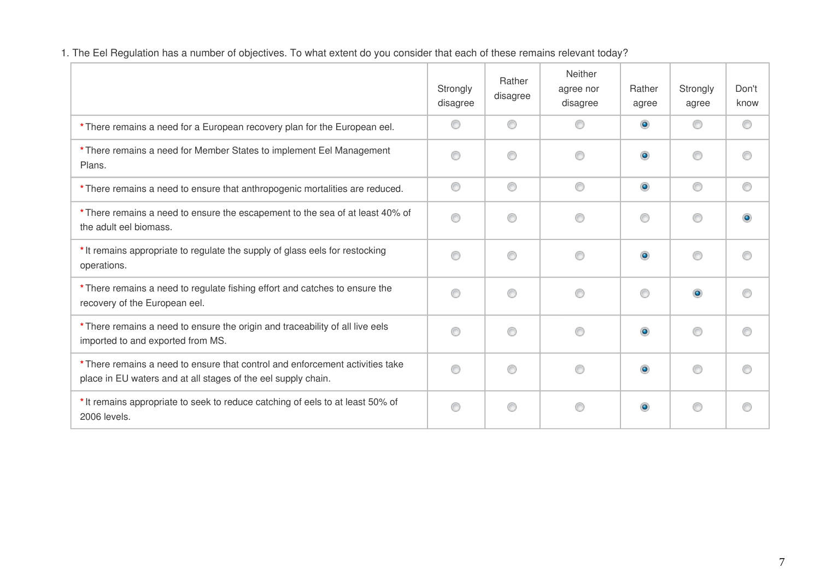| 1. The Eel Regulation has a number of objectives. To what extent do you consider that each of these remains relevant today? |  |  |
|-----------------------------------------------------------------------------------------------------------------------------|--|--|
|-----------------------------------------------------------------------------------------------------------------------------|--|--|

|                                                                                                                                                | Strongly<br>disagree | Rather<br>disagree | Neither<br>agree nor<br>disagree | Rather<br>agree | Strongly<br>agree | Don't<br>know |
|------------------------------------------------------------------------------------------------------------------------------------------------|----------------------|--------------------|----------------------------------|-----------------|-------------------|---------------|
| * There remains a need for a European recovery plan for the European eel.                                                                      | ⋒                    | ◎                  | ⊙                                | $\bullet$       | ∩                 | ⊙             |
| * There remains a need for Member States to implement Eel Management<br>Plans.                                                                 |                      | ⋒                  | ∩                                | $\bullet$       | ⋒                 | ∩             |
| * There remains a need to ensure that anthropogenic mortalities are reduced.                                                                   | ⊙                    | ◉                  | ◉                                | $\bullet$       | ◉                 | ⊙             |
| * There remains a need to ensure the escapement to the sea of at least 40% of<br>the adult eel biomass.                                        | ⊙                    | ⋒                  | ⊙                                | 0               | ⋒                 | $\bullet$     |
| * It remains appropriate to regulate the supply of glass eels for restocking<br>operations.                                                    | ⋒                    | ⋒                  | ⊙                                | $\bullet$       | ⋒                 |               |
| * There remains a need to regulate fishing effort and catches to ensure the<br>recovery of the European eel.                                   | ∩                    | ⋒                  | ⊙                                | ⊙               | ۵                 | ∩             |
| * There remains a need to ensure the origin and traceability of all live eels<br>imported to and exported from MS.                             | ⋒                    |                    | ∩                                | $\bullet$       | ⋒                 |               |
| * There remains a need to ensure that control and enforcement activities take<br>place in EU waters and at all stages of the eel supply chain. | ⋒                    | ⋒                  | ◉                                | $\bullet$       | ⋒                 | ∩             |
| * It remains appropriate to seek to reduce catching of eels to at least 50% of<br>2006 levels.                                                 | ∩                    | €                  | ⊙                                | $\bullet$       |                   | ⊙             |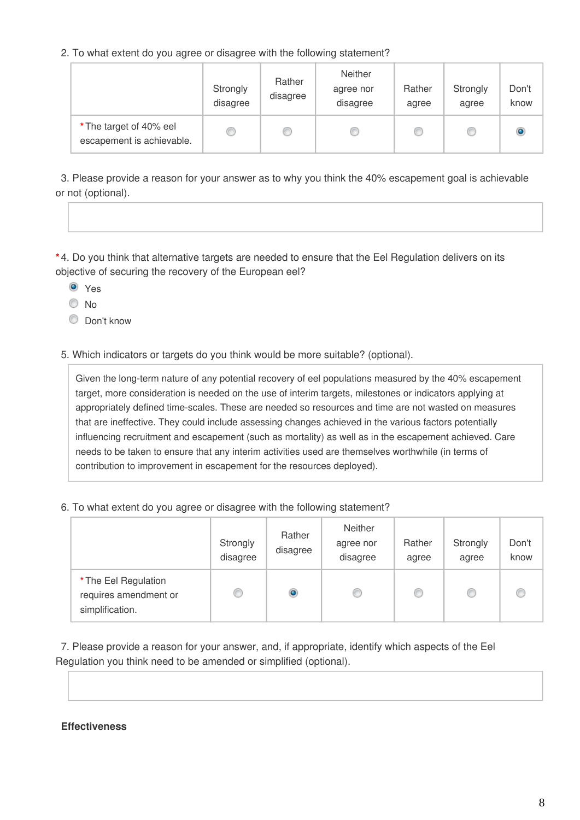2. To what extent do you agree or disagree with the following statement?

|                                                      | Strongly<br>disagree | Rather<br>disagree | Neither<br>agree nor<br>disagree | Rather<br>agree | Strongly<br>agree | Don't<br>know |
|------------------------------------------------------|----------------------|--------------------|----------------------------------|-----------------|-------------------|---------------|
| * The target of 40% eel<br>escapement is achievable. | $\circledcirc$       | C                  |                                  |                 | C                 | ۱             |

3. Please provide a reason for your answer as to why you think the 40% escapement goal is achievable or not (optional).

**\*** 4. Do you think that alternative targets are needed to ensure that the Eel Regulation delivers on its objective of securing the recovery of the European eel?

Yes

 $\odot$  No.

C Don't know

5. Which indicators or targets do you think would be more suitable? (optional).

Given the long-term nature of any potential recovery of eel populations measured by the 40% escapement target, more consideration is needed on the use of interim targets, milestones or indicators applying at appropriately defined time-scales. These are needed so resources and time are not wasted on measures that are ineffective. They could include assessing changes achieved in the various factors potentially influencing recruitment and escapement (such as mortality) as well as in the escapement achieved. Care needs to be taken to ensure that any interim activities used are themselves worthwhile (in terms of contribution to improvement in escapement for the resources deployed).

6. To what extent do you agree or disagree with the following statement?

|                                                                  | Strongly<br>disagree | Rather<br>disagree | Neither<br>agree nor<br>disagree | Rather<br>agree | Strongly<br>agree | Don't<br>know |
|------------------------------------------------------------------|----------------------|--------------------|----------------------------------|-----------------|-------------------|---------------|
| * The Eel Regulation<br>requires amendment or<br>simplification. | C                    | ۱                  |                                  |                 | w                 |               |

7. Please provide a reason for your answer, and, if appropriate, identify which aspects of the Eel Regulation you think need to be amended or simplified (optional).

#### **Effectiveness**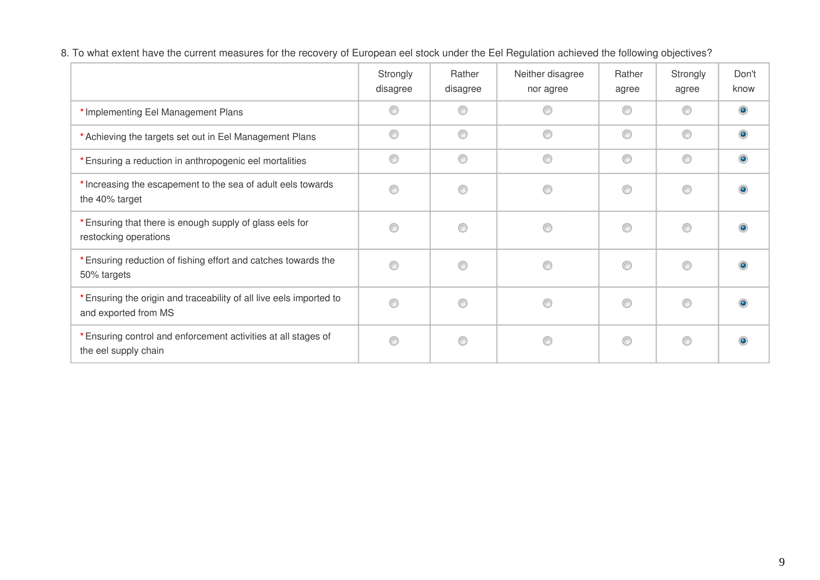|                                                                                             | Strongly<br>disagree | Rather<br>disagree | Neither disagree<br>nor agree | Rather<br>agree | Strongly<br>agree | Don't<br>know |
|---------------------------------------------------------------------------------------------|----------------------|--------------------|-------------------------------|-----------------|-------------------|---------------|
| * Implementing Eel Management Plans                                                         | O                    | ⊙                  | ◎                             | ⊙               | ⊙                 | $\bullet$     |
| * Achieving the targets set out in Eel Management Plans                                     | O                    | 0                  | ⊙                             | 0               | 0                 | $\bullet$     |
| * Ensuring a reduction in anthropogenic eel mortalities                                     | O                    | 0                  | 0                             | 0               | 0                 | $\bullet$     |
| * Increasing the escapement to the sea of adult eels towards<br>the 40% target              | ⊙                    | ⊙                  | ⋒                             | ◉               | ⊙                 | $\bullet$     |
| * Ensuring that there is enough supply of glass eels for<br>restocking operations           | ◎                    | ⊙                  |                               | ◉               | ⊙                 | $\bullet$     |
| * Ensuring reduction of fishing effort and catches towards the<br>50% targets               | ⊙                    | ⊙                  | ∩                             | ◉               | ◉                 | $\bullet$     |
| * Ensuring the origin and traceability of all live eels imported to<br>and exported from MS | O                    | ⊙                  | ⋒                             | ⊙               | 0                 | $\bullet$     |
| * Ensuring control and enforcement activities at all stages of<br>the eel supply chain      | O                    | ⊙                  |                               | ◉               | ◉                 | $\bullet$     |

8. To what extent have the current measures for the recovery of European eel stock under the Eel Regulation achieved the following objectives?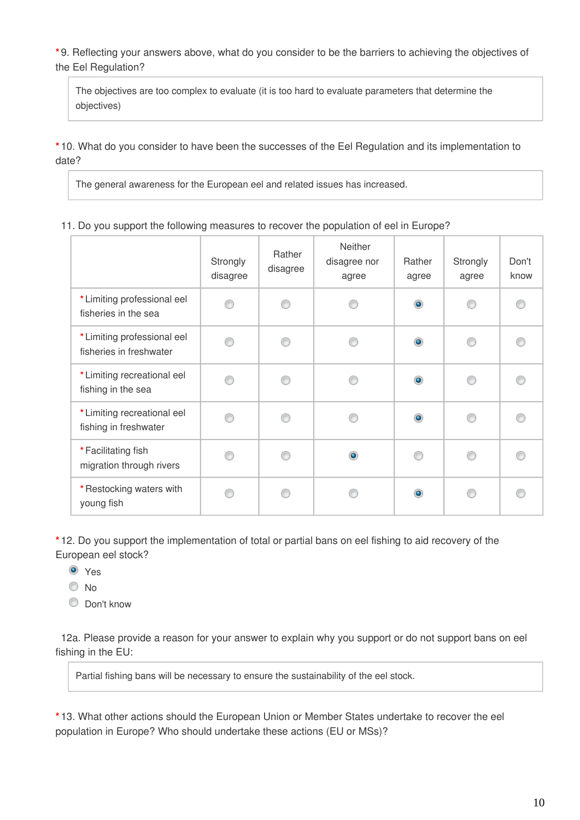**\*** 9. Reflecting your answers above, what do you consider to be the barriers to achieving the objectives of the Eel Regulation?

The objectives are too complex to evaluate (it is too hard to evaluate parameters that determine the objectives)

**\*** 10. What do you consider to have been the successes of the Eel Regulation and its implementation to date?

The general awareness for the European eel and related issues has increased.

|  |  |  | 11. Do you support the following measures to recover the population of eel in Europe? |  |  |  |  |  |  |
|--|--|--|---------------------------------------------------------------------------------------|--|--|--|--|--|--|
|--|--|--|---------------------------------------------------------------------------------------|--|--|--|--|--|--|

|                                                        | Strongly<br>disagree | Rather<br>disagree | Neither<br>disagree nor<br>agree | Rather<br>agree | Strongly<br>agree | Don't<br>know |
|--------------------------------------------------------|----------------------|--------------------|----------------------------------|-----------------|-------------------|---------------|
| * Limiting professional eel<br>fisheries in the sea    |                      |                    |                                  | $\bullet$       |                   |               |
| * Limiting professional eel<br>fisheries in freshwater |                      | ⋒                  |                                  | $\bullet$       |                   |               |
| * Limiting recreational eel<br>fishing in the sea      |                      | ⋒                  |                                  | $\bullet$       |                   |               |
| * Limiting recreational eel<br>fishing in freshwater   |                      | ⋒                  |                                  | $\bullet$       |                   |               |
| *Facilitating fish<br>migration through rivers         |                      |                    | $\bullet$                        |                 |                   |               |
| * Restocking waters with<br>young fish                 |                      |                    |                                  | $\bullet$       |                   |               |

**\*** 12. Do you support the implementation of total or partial bans on eel fishing to aid recovery of the European eel stock?

**O** Yes

© No

C Don't know

12a. Please provide a reason for your answer to explain why you support or do not support bans on eel fishing in the EU:

Partial fishing bans will be necessary to ensure the sustainability of the eel stock.

**\*** 13. What other actions should the European Union or Member States undertake to recover the eel population in Europe? Who should undertake these actions (EU or MSs)?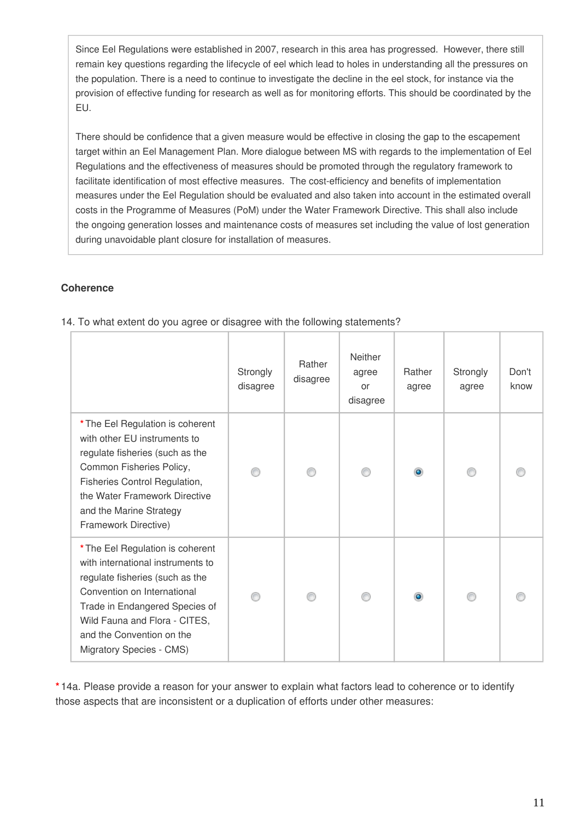Since Eel Regulations were established in 2007, research in this area has progressed. However, there still remain key questions regarding the lifecycle of eel which lead to holes in understanding all the pressures on the population. There is a need to continue to investigate the decline in the eel stock, for instance via the provision of effective funding for research as well as for monitoring efforts. This should be coordinated by the EU.

There should be confidence that a given measure would be effective in closing the gap to the escapement target within an Eel Management Plan. More dialogue between MS with regards to the implementation of Eel Regulations and the effectiveness of measures should be promoted through the regulatory framework to facilitate identification of most effective measures. The cost-efficiency and benefits of implementation measures under the Eel Regulation should be evaluated and also taken into account in the estimated overall costs in the Programme of Measures (PoM) under the Water Framework Directive. This shall also include the ongoing generation losses and maintenance costs of measures set including the value of lost generation during unavoidable plant closure for installation of measures.

## **Coherence**

|                                                                                                                                                                                                                                                                     | Strongly<br>disagree | Rather<br>disagree | Neither<br>agree<br>or<br>disagree | Rather<br>agree | Strongly<br>agree | Don't<br>know |
|---------------------------------------------------------------------------------------------------------------------------------------------------------------------------------------------------------------------------------------------------------------------|----------------------|--------------------|------------------------------------|-----------------|-------------------|---------------|
| * The Eel Regulation is coherent<br>with other EU instruments to<br>regulate fisheries (such as the<br>Common Fisheries Policy,<br>Fisheries Control Regulation,<br>the Water Framework Directive<br>and the Marine Strategy<br>Framework Directive)                |                      |                    |                                    | $\bullet$       |                   |               |
| * The Eel Regulation is coherent<br>with international instruments to<br>regulate fisheries (such as the<br>Convention on International<br>Trade in Endangered Species of<br>Wild Fauna and Flora - CITES,<br>and the Convention on the<br>Migratory Species - CMS) |                      |                    |                                    |                 |                   |               |

14. To what extent do you agree or disagree with the following statements?

**\*** 14a. Please provide a reason for your answer to explain what factors lead to coherence or to identify those aspects that are inconsistent or a duplication of efforts under other measures: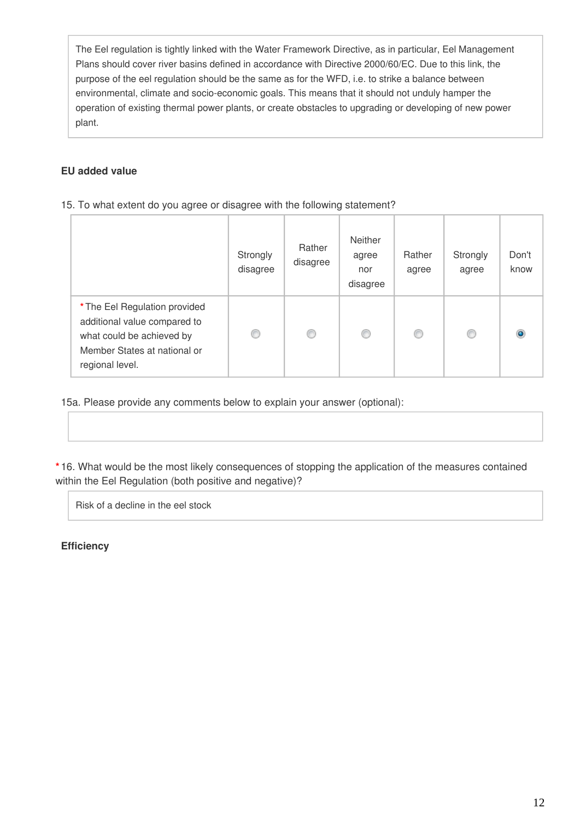The Eel regulation is tightly linked with the Water Framework Directive, as in particular, Eel Management Plans should cover river basins defined in accordance with Directive 2000/60/EC. Due to this link, the purpose of the eel regulation should be the same as for the WFD, i.e. to strike a balance between environmental, climate and socio-economic goals. This means that it should not unduly hamper the operation of existing thermal power plants, or create obstacles to upgrading or developing of new power plant.

## **EU added value**

#### 15. To what extent do you agree or disagree with the following statement?

|                                                                                                                                               | Strongly<br>disagree | Rather<br>disagree | <b>Neither</b><br>agree<br>nor<br>disagree | Rather<br>agree | Strongly<br>agree | Don't<br>know |
|-----------------------------------------------------------------------------------------------------------------------------------------------|----------------------|--------------------|--------------------------------------------|-----------------|-------------------|---------------|
| * The Eel Regulation provided<br>additional value compared to<br>what could be achieved by<br>Member States at national or<br>regional level. | €                    | O                  | ◎                                          | C               | ⋒                 |               |

15a. Please provide any comments below to explain your answer (optional):

**\*** 16. What would be the most likely consequences of stopping the application of the measures contained within the Eel Regulation (both positive and negative)?

Risk of a decline in the eel stock

**Efficiency**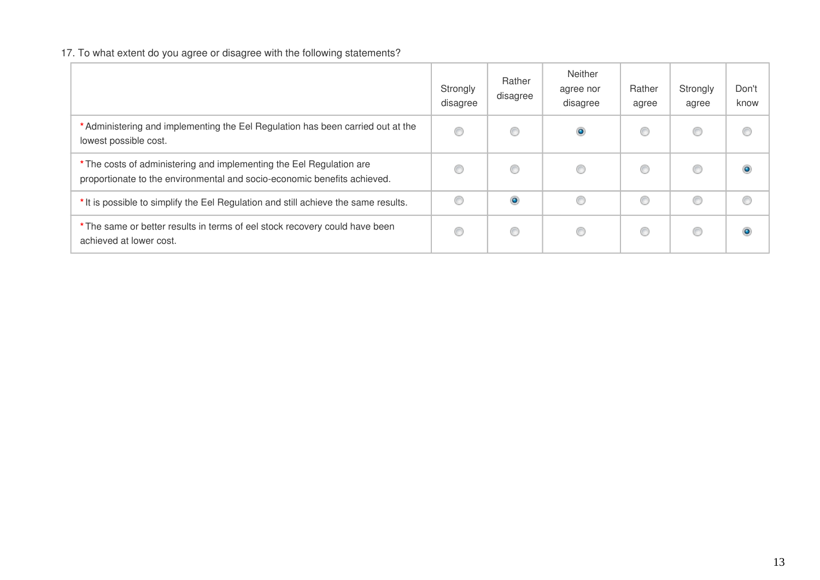# 17. To what extent do you agree or disagree with the following statements?

|                                                                                                                                                  | Strongly<br>disagree | Rather<br>disagree | Neither<br>agree nor<br>disagree | Rather<br>agree | Strongly<br>agree | Don't<br>know |
|--------------------------------------------------------------------------------------------------------------------------------------------------|----------------------|--------------------|----------------------------------|-----------------|-------------------|---------------|
| * Administering and implementing the Eel Regulation has been carried out at the<br>lowest possible cost.                                         | ⊙                    | O                  | $\bullet$                        |                 |                   | €             |
| * The costs of administering and implementing the Eel Regulation are<br>proportionate to the environmental and socio-economic benefits achieved. | O                    | ◎                  | C                                |                 |                   | ٥             |
| * It is possible to simplify the Eel Regulation and still achieve the same results.                                                              | O                    | $\bullet$          | €                                | ⊙               | €                 | C             |
| * The same or better results in terms of eel stock recovery could have been<br>achieved at lower cost.                                           | O                    | ⊙                  | C                                |                 | €                 |               |